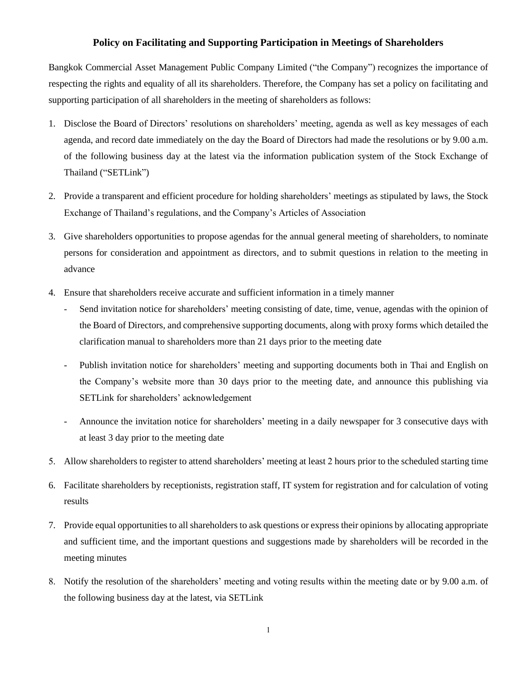## **Policy on Facilitating and Supporting Participation in Meetings of Shareholders**

Bangkok Commercial Asset Management Public Company Limited ("the Company") recognizes the importance of respecting the rights and equality of all its shareholders. Therefore, the Company has set a policy on facilitating and supporting participation of all shareholders in the meeting of shareholders as follows:

- 1. Disclose the Board of Directors' resolutions on shareholders' meeting, agenda as well as key messages of each agenda, and record date immediately on the day the Board of Directors had made the resolutions or by 9.00 a.m. of the following business day at the latest via the information publication system of the Stock Exchange of Thailand ("SETLink")
- 2. Provide a transparent and efficient procedure for holding shareholders' meetings as stipulated by laws, the Stock Exchange of Thailand's regulations, and the Company's Articles of Association
- 3. Give shareholders opportunities to propose agendas for the annual general meeting of shareholders, to nominate persons for consideration and appointment as directors, and to submit questions in relation to the meeting in advance
- 4. Ensure that shareholders receive accurate and sufficient information in a timely manner
	- Send invitation notice for shareholders' meeting consisting of date, time, venue, agendas with the opinion of the Board of Directors, and comprehensive supporting documents, along with proxy forms which detailed the clarification manual to shareholders more than 21 days prior to the meeting date
	- Publish invitation notice for shareholders' meeting and supporting documents both in Thai and English on the Company's website more than 30 days prior to the meeting date, and announce this publishing via SETLink for shareholders' acknowledgement
	- Announce the invitation notice for shareholders' meeting in a daily newspaper for 3 consecutive days with at least 3 day prior to the meeting date
- 5. Allow shareholders to register to attend shareholders' meeting at least 2 hours prior to the scheduled starting time
- 6. Facilitate shareholders by receptionists, registration staff, IT system for registration and for calculation of voting results
- 7. Provide equal opportunities to all shareholders to ask questions or express their opinions by allocating appropriate and sufficient time, and the important questions and suggestions made by shareholders will be recorded in the meeting minutes
- 8. Notify the resolution of the shareholders' meeting and voting results within the meeting date or by 9.00 a.m. of the following business day at the latest, via SETLink